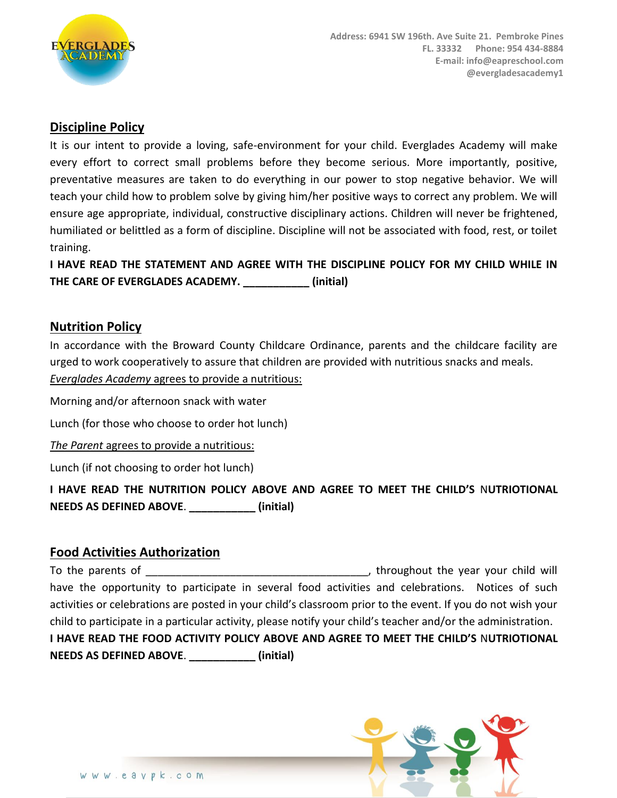

### **Discipline Policy**

It is our intent to provide a loving, safe-environment for your child. Everglades Academy will make every effort to correct small problems before they become serious. More importantly, positive, preventative measures are taken to do everything in our power to stop negative behavior. We will teach your child how to problem solve by giving him/her positive ways to correct any problem. We will ensure age appropriate, individual, constructive disciplinary actions. Children will never be frightened, humiliated or belittled as a form of discipline. Discipline will not be associated with food, rest, or toilet training.

**I HAVE READ THE STATEMENT AND AGREE WITH THE DISCIPLINE POLICY FOR MY CHILD WHILE IN THE CARE OF EVERGLADES ACADEMY. \_\_\_\_\_\_\_\_\_\_\_ (initial)**

#### **Nutrition Policy**

In accordance with the Broward County Childcare Ordinance, parents and the childcare facility are urged to work cooperatively to assure that children are provided with nutritious snacks and meals. *Everglades Academy* agrees to provide a nutritious:

Morning and/or afternoon snack with water

Lunch (for those who choose to order hot lunch)

*The Parent* agrees to provide a nutritious:

Lunch (if not choosing to order hot lunch)

**I HAVE READ THE NUTRITION POLICY ABOVE AND AGREE TO MEET THE CHILD'S** N**UTRIOTIONAL NEEDS AS DEFINED ABOVE**. **\_\_\_\_\_\_\_\_\_\_\_ (initial)**

#### **Food Activities Authorization**

To the parents of  $\Box$   $\Box$  throughout the year your child will have the opportunity to participate in several food activities and celebrations. Notices of such activities or celebrations are posted in your child's classroom prior to the event. If you do not wish your child to participate in a particular activity, please notify your child's teacher and/or the administration. **I HAVE READ THE FOOD ACTIVITY POLICY ABOVE AND AGREE TO MEET THE CHILD'S** N**UTRIOTIONAL NEEDS AS DEFINED ABOVE**. **\_\_\_\_\_\_\_\_\_\_\_ (initial)**